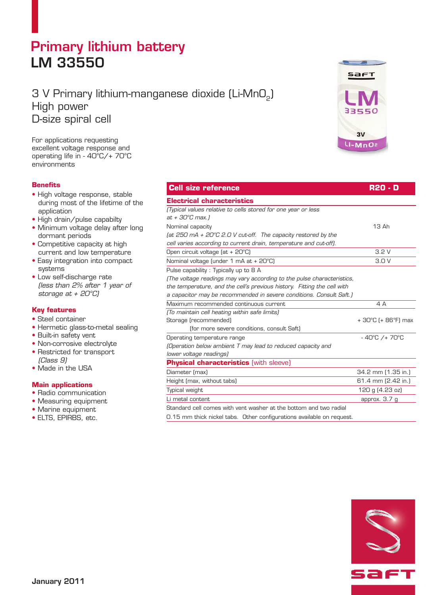# Primary lithium battery LM 33550

# 3 V Primary lithium-manganese dioxide (Li-MnO<sub>2</sub>) High power D-size spiral cell

For applications requesting excellent voltage response and operating life in - 40°C/+ 70°C environments

## **Benefits**

- High voltage response, stable during most of the lifetime of the application
- High drain/pulse capabilty
- Minimum voltage delay after long dormant periods
- Competitive capacity at high current and low temperature
- Easy integration into compact systems
- Low self-discharge rate (less than 2% after 1 year of storage at + 20°C)

### **Key features**

- Steel container
- Hermetic glass-to-metal sealing
- Built-in safety vent
- Non-corrosive electrolyte
- Restricted for transport (Class 9)
- Made in the USA

### **Main applications**

- Radio communication
- Measuring equipment
- Marine equipment
- ELTS, EPIRBS, etc.



| <b>Cell size reference</b>                                               | R20 - D                           |
|--------------------------------------------------------------------------|-----------------------------------|
| <b>Electrical characteristics</b>                                        |                                   |
| (Typical values relative to cells stored for one year or less            |                                   |
| at + 30°C max.1                                                          |                                   |
| Nominal capacity                                                         | 13 Ah                             |
| (at 250 mA + 20 $^{\circ}$ C 2.0 V cut-off. The capacity restored by the |                                   |
| cell varies according to current drain, temperature and cut-off).        |                                   |
| Open circuit voltage (at + 20°C)                                         | 3.2V                              |
| Nominal voltage (under 1 mA at + 20°C)                                   | 3.0V                              |
| Pulse capability: Typically up to 8 A                                    |                                   |
| [The voltage readings may vary according to the pulse characteristics,   |                                   |
| the temperature, and the cell's previous history. Fitting the cell with  |                                   |
| a capacitor may be recommended in severe conditions. Consult Saft.)      |                                   |
| Maximum recommended continuous current                                   | 4A                                |
| (To maintain cell heating within safe limits)                            |                                   |
| Storage (recommended)                                                    | + 30°C (+ 86°F) max               |
| (for more severe conditions, consult Saft)                               |                                   |
| Operating temperature range                                              | $-40^{\circ}$ C /+70 $^{\circ}$ C |
| [Operation below ambient T may lead to reduced capacity and              |                                   |
| lower voltage readings)                                                  |                                   |
| <b>Physical characteristics (with sleeve)</b>                            |                                   |
| Diameter (max)                                                           | 34.2 mm (1.35 in.)                |
| Height (max, without tabs)                                               | 61.4 mm (2.42 in.)                |
| Typical weight                                                           | 120 g (4.23 oz)                   |
| Li metal content                                                         | approx. $3.7q$                    |
| Standard cell comes with vent washer at the bottom and two radial        |                                   |

0.15 mm thick nickel tabs. Other configurations available on request.